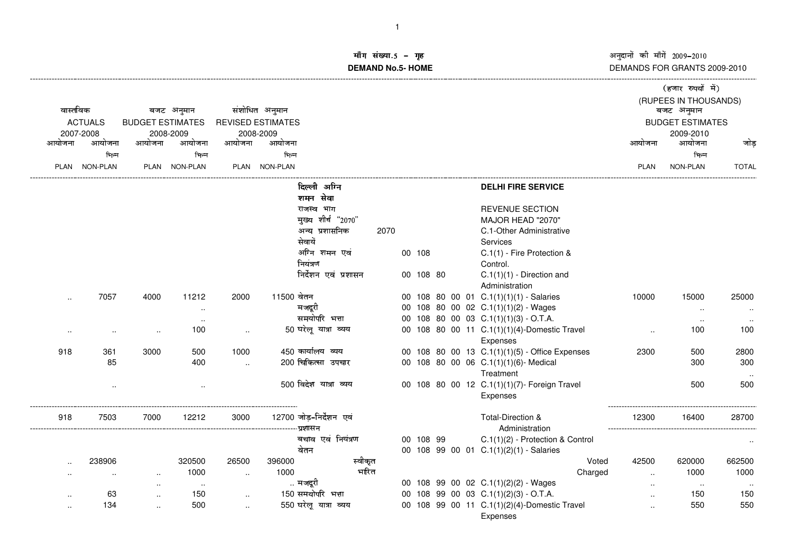!DEMANDS FOR GRANTS 2009-2010

1

|                            |                     |                         |                      |                          |                         |      |        |           |  |  |                                                          |             | (हजार रुपयों में)       |              |  |
|----------------------------|---------------------|-------------------------|----------------------|--------------------------|-------------------------|------|--------|-----------|--|--|----------------------------------------------------------|-------------|-------------------------|--------------|--|
|                            |                     |                         |                      |                          |                         |      |        |           |  |  |                                                          |             | (RUPEES IN THOUSANDS)   |              |  |
| वास्तविक<br><b>ACTUALS</b> |                     | बजट अनुमान              |                      |                          | संशोधित अनुमान          |      |        |           |  |  | बजट अनुमान                                               |             |                         |              |  |
|                            |                     | <b>BUDGET ESTIMATES</b> |                      | <b>REVISED ESTIMATES</b> |                         |      |        |           |  |  |                                                          |             | <b>BUDGET ESTIMATES</b> |              |  |
| आयोजना                     | 2007-2008<br>आयोजना |                         | 2008-2009<br>आयोजना  |                          | 2008-2009<br>आयोजना     |      |        |           |  |  |                                                          | आयोजना      | 2009-2010<br>आयोजना     |              |  |
|                            |                     | आयोजना                  |                      | आयोजना                   |                         |      |        |           |  |  |                                                          |             |                         | जोड          |  |
|                            | भिन्न               |                         | भिन्न                |                          | भिन्न                   |      |        |           |  |  |                                                          |             | भिन्न                   |              |  |
| <b>PLAN</b>                | NON-PLAN            |                         | PLAN NON-PLAN        |                          | PLAN NON-PLAN           |      |        |           |  |  |                                                          | <b>PLAN</b> | NON-PLAN                | <b>TOTAL</b> |  |
|                            |                     |                         |                      |                          | दिल्ली अग्नि            |      |        |           |  |  | <b>DELHI FIRE SERVICE</b>                                |             |                         |              |  |
|                            |                     |                         |                      |                          | शमन सेवा                |      |        |           |  |  |                                                          |             |                         |              |  |
|                            |                     |                         |                      |                          | राजस्व भाग              |      |        |           |  |  | <b>REVENUE SECTION</b>                                   |             |                         |              |  |
|                            |                     |                         |                      |                          | मुख्य शीर्ष "2070"      |      |        |           |  |  | MAJOR HEAD "2070"                                        |             |                         |              |  |
|                            |                     |                         |                      |                          | अन्य प्रशासनिक          | 2070 |        |           |  |  | C.1-Other Administrative                                 |             |                         |              |  |
|                            |                     |                         |                      |                          | सेवायें                 |      |        |           |  |  | Services                                                 |             |                         |              |  |
|                            |                     |                         |                      |                          | अग्नि शमन एवं           |      | 00 108 |           |  |  | C.1(1) - Fire Protection &                               |             |                         |              |  |
|                            |                     |                         |                      |                          | नियंत्रण                |      |        |           |  |  | Control.                                                 |             |                         |              |  |
|                            |                     |                         |                      |                          | निर्देशन एवं प्रशासन    |      |        | 00 108 80 |  |  | $C.1(1)(1)$ - Direction and                              |             |                         |              |  |
|                            |                     |                         |                      |                          |                         |      |        |           |  |  | Administration                                           |             |                         |              |  |
| $\ddotsc$                  | 7057                | 4000                    | 11212                | 2000                     | 11500 वेतन              |      |        |           |  |  | 00 108 80 00 01 C.1(1)(1)(1) - Salaries                  | 10000       | 15000                   | 25000        |  |
|                            |                     |                         | $\ddotsc$            |                          | मजदूरी                  |      |        |           |  |  | 00 108 80 00 02 C.1(1)(1)(2) - Wages                     |             | $\ddot{\phantom{a}}$    | $\cdot$ .    |  |
|                            |                     |                         | $\ldots$             |                          | समयोपरि भत्ता           |      |        |           |  |  | 00 108 80 00 03 C.1(1)(1)(3) - O.T.A.                    |             | $\cdot$ .               |              |  |
|                            |                     |                         | 100                  | $\ddotsc$                | 50 घरेलू यात्रा व्यय    |      |        |           |  |  | 00 108 80 00 11 C.1(1)(1)(4)-Domestic Travel<br>Expenses | $\cdot$ .   | 100                     | 100          |  |
| 918                        | 361                 | 3000                    | 500                  | 1000                     | 450 कार्यालय व्यय       |      |        |           |  |  | 00 108 80 00 13 C.1(1)(1)(5) - Office Expenses           | 2300        | 500                     | 2800         |  |
|                            | 85                  |                         | 400                  | $\ddotsc$                | 200 चिकित्सा उपचार      |      |        |           |  |  | 00 108 80 00 06 C.1(1)(1)(6)- Medical                    |             | 300                     | 300          |  |
|                            |                     |                         |                      |                          |                         |      |        |           |  |  | Treatment                                                |             |                         |              |  |
|                            | $\cdot$ .           |                         | $\ddot{\phantom{1}}$ |                          | 500 विदेश यात्रा व्यय   |      |        |           |  |  | 00 108 80 00 12 C.1(1)(1)(7)- Foreign Travel             |             | 500                     | 500          |  |
|                            |                     |                         |                      |                          |                         |      |        |           |  |  | Expenses                                                 |             |                         |              |  |
| 918                        | 7503                | 7000                    | 12212                | 3000                     | 12700 जोड़-निर्देशन एवं |      |        |           |  |  | Total-Direction &                                        | 12300       | 16400                   | 28700        |  |
|                            |                     |                         |                      |                          | ∙प्रशासन                |      |        |           |  |  | Administration                                           |             |                         |              |  |
|                            |                     |                         |                      |                          | बचाव एवं नियंत्रण       |      |        | 00 108 99 |  |  | C.1(1)(2) - Protection & Control                         |             |                         |              |  |
|                            |                     |                         |                      |                          | वेतन                    |      |        |           |  |  | 00 108 99 00 01 C.1(1)(2)(1) - Salaries                  |             |                         |              |  |
|                            | 238906              |                         | 320500               | 26500                    | 396000<br>स्वीकृत       |      |        |           |  |  | Voted                                                    | 42500       | 620000                  | 662500       |  |
| ٠.                         |                     |                         | 1000                 | $\ddotsc$                | भारित<br>1000           |      |        |           |  |  | Charged                                                  | $\cdot$ .   | 1000                    | 1000         |  |
|                            |                     |                         | $\sim$               |                          | मजदुरी                  |      |        |           |  |  | 00 108 99 00 02 C.1(1)(2)(2) - Wages                     | $\cdot$ .   | $\sim$                  | $\sim$       |  |
|                            | 63                  |                         | 150                  | $\cdot$ .                | 150 समयोपरि भत्ता       |      |        |           |  |  | 00 108 99 00 03 C.1(1)(2)(3) - O.T.A.                    | $\cdot$ .   | 150                     | 150          |  |
| $\ddotsc$                  | 134                 | $\ddotsc$               | 500                  | ä.                       | 550 घरेलू यात्रा व्यय   |      |        |           |  |  | 00 108 99 00 11 C.1(1)(2)(4)-Domestic Travel             | $\ddotsc$   | 550                     | 550          |  |
|                            |                     |                         |                      |                          |                         |      |        |           |  |  | Expenses                                                 |             |                         |              |  |
|                            |                     |                         |                      |                          |                         |      |        |           |  |  |                                                          |             |                         |              |  |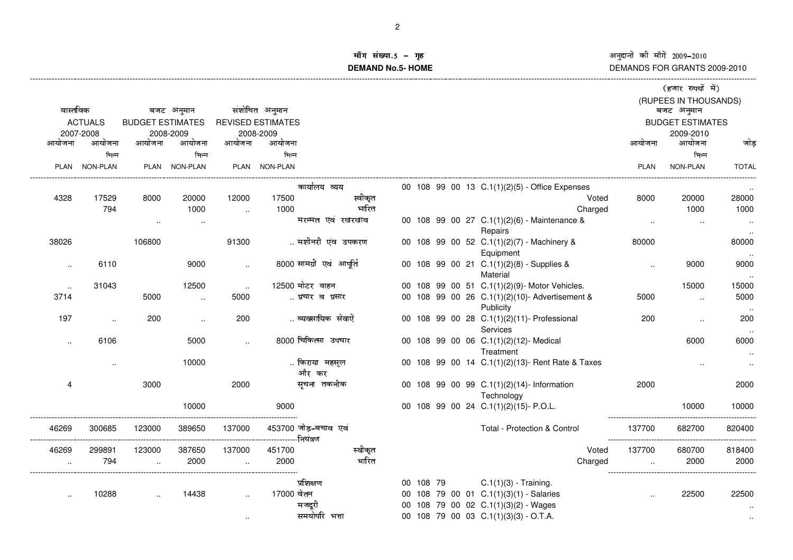ī अनुदानों की माँगें 2009–2010<br>DEMANDS FOR GRANTS 2009-2010  $\frac{1}{2}$  की माँगें 2009-2010

*Contract State State State State* 

## ँग संख्या.5 –<br>MAND Ne 5 H **MANI** गृह<br>ON<br>-**DEMAND No.5- HOME**--------------------------------------------------------------------------------------------------------------------------------------------------------------------------------------------------------------------------------------------------------------------------------------

|           |                        |                                      |                      |           |                          |                          |  |           |  |  |                                                                |             | (हजार रुपया म)                      |                            |  |  |  |
|-----------|------------------------|--------------------------------------|----------------------|-----------|--------------------------|--------------------------|--|-----------|--|--|----------------------------------------------------------------|-------------|-------------------------------------|----------------------------|--|--|--|
|           | वास्तविक<br>बजट अनुमान |                                      |                      |           |                          | संशोधित अनुमान           |  |           |  |  |                                                                |             | (RUPEES IN THOUSANDS)<br>बजट अनुमान |                            |  |  |  |
|           | <b>ACTUALS</b>         | <b>BUDGET ESTIMATES</b><br>2008-2009 |                      |           | <b>REVISED ESTIMATES</b> |                          |  |           |  |  |                                                                |             | <b>BUDGET ESTIMATES</b>             |                            |  |  |  |
|           | 2007-2008              |                                      |                      | 2008-2009 |                          |                          |  |           |  |  |                                                                |             | 2009-2010                           |                            |  |  |  |
| आयोजना    | आयोजना                 | आयोजना                               | आयोजना               | आयोजना    | आयोजना                   |                          |  |           |  |  |                                                                | आयोजना      | आयोजना                              | जोड़                       |  |  |  |
|           | भिन्न                  |                                      | भिन्न                |           | भिन्न                    |                          |  |           |  |  |                                                                |             | भिन्न                               |                            |  |  |  |
|           | PLAN NON-PLAN          |                                      | PLAN NON-PLAN        |           | PLAN NON-PLAN            |                          |  |           |  |  |                                                                | <b>PLAN</b> | NON-PLAN                            | <b>TOTAL</b>               |  |  |  |
|           |                        |                                      |                      |           |                          | कार्यालय व्यय            |  |           |  |  | 00 108 99 00 13 C.1(1)(2)(5) - Office Expenses                 |             |                                     |                            |  |  |  |
| 4328      | 17529                  | 8000                                 | 20000                | 12000     | 17500                    | स्वीकृत                  |  |           |  |  | Voted                                                          | 8000        | 20000                               | 28000                      |  |  |  |
|           | 794                    |                                      | 1000                 | $\ddotsc$ | 1000                     | भारित                    |  |           |  |  | Charged                                                        |             | 1000                                | 1000                       |  |  |  |
|           |                        | $\ddotsc$                            | $\cdot$ .            |           |                          | मरम्मत एवं रखरखाव        |  |           |  |  | 00 108 99 00 27 C.1(1)(2)(6) - Maintenance &<br>Repairs        | $\cdot$ .   | $\ddotsc$                           | $\sim$ 100 $\pm$<br>$\sim$ |  |  |  |
| 38026     |                        | 106800                               |                      | 91300     |                          | मशीनरी एंव उपकरण         |  |           |  |  | 00 108 99 00 52 C.1(1)(2)(7) - Machinery &<br>Equipment        | 80000       |                                     | 80000<br>$\sim$            |  |  |  |
| $\cdot$ . | 6110                   |                                      | 9000                 | $\ddotsc$ |                          | 8000 सामग्री एवं आपूर्ति |  |           |  |  | 00 108 99 00 21 C.1(1)(2)(8) - Supplies &<br>Material          | $\ddotsc$   | 9000                                | 9000<br>$\sim$             |  |  |  |
| $\cdot$ . | 31043                  |                                      | 12500                | $\ddotsc$ | 12500 मोटर वाहन          |                          |  |           |  |  | 00 108 99 00 51 C.1(1)(2)(9)- Motor Vehicles.                  |             | 15000                               | 15000                      |  |  |  |
| 3714      |                        | 5000                                 | $\mathbf{r}$         | 5000      |                          | प्रचार व प्रसार          |  |           |  |  | 00 108 99 00 26 C.1(1)(2)(10)- Advertisement &<br>Publicity    | 5000        | $\bar{\mathcal{A}}$                 | 5000<br>$\sim$             |  |  |  |
| 197       | $\ldots$               | 200                                  | $\ddot{\phantom{a}}$ | 200       |                          | व्यवसायिक सेवाऐं         |  |           |  |  | 00 108 99 00 28 C.1(1)(2)(11)- Professional<br><b>Services</b> | 200         | $\ldots$                            | 200                        |  |  |  |
| $\cdot$ . | 6106                   |                                      | 5000                 | $\sim$    |                          | 8000 चिकित्सा उपचार      |  |           |  |  | 00 108 99 00 06 C.1(1)(2)(12)- Medical<br>Treatment            |             | 6000                                | 6000<br>٠.                 |  |  |  |
|           | $\sim$                 |                                      | 10000                |           |                          | किराया महसूल<br>और कर    |  |           |  |  | 00 108 99 00 14 C.1(1)(2)(13)- Rent Rate & Taxes               |             | $\ldots$                            | $\ddot{\phantom{a}}$       |  |  |  |
| 4         |                        | 3000                                 |                      | 2000      |                          | सूचना तकनीक              |  |           |  |  | 00 108 99 00 99 C.1(1)(2)(14)- Information<br>Technology       | 2000        |                                     | 2000                       |  |  |  |
|           |                        |                                      | 10000                |           | 9000                     |                          |  |           |  |  | 00 108 99 00 24 C.1(1)(2)(15)- P.O.L.                          |             | 10000                               | 10000                      |  |  |  |
| 46269     | 300685                 | 123000                               | 389650               | 137000    |                          | 453700 जोड़-बचाव एवं     |  |           |  |  | Total - Protection & Control                                   | 137700      | 682700                              | 820400                     |  |  |  |
| 46269     | 299891                 | 123000                               | 387650               | 137000    | 451700                   | स्वीकृत                  |  |           |  |  | Voted                                                          | 137700      | 680700                              | 818400                     |  |  |  |
|           | 794                    |                                      | 2000                 |           | 2000                     | भारित                    |  |           |  |  | Charged                                                        |             | 2000                                | 2000                       |  |  |  |
|           |                        |                                      |                      |           |                          | प्रशिक्षण                |  | 00 108 79 |  |  | $C.1(1)(3)$ - Training.                                        |             |                                     |                            |  |  |  |
| $\ddotsc$ | 10288                  |                                      | 14438                |           | 17000 वेतन               |                          |  |           |  |  | 00 108 79 00 01 C.1(1)(3)(1) - Salaries                        |             | 22500                               | 22500                      |  |  |  |
|           |                        |                                      |                      |           |                          | मजदूरी                   |  |           |  |  | 00 108 79 00 02 C.1(1)(3)(2) - Wages                           |             |                                     |                            |  |  |  |
|           |                        |                                      |                      |           |                          | समयोपरि भत्ता            |  |           |  |  | 00 108 79 00 03 C.1(1)(3)(3) - O.T.A.                          |             |                                     |                            |  |  |  |
|           |                        |                                      |                      |           |                          |                          |  |           |  |  |                                                                |             |                                     |                            |  |  |  |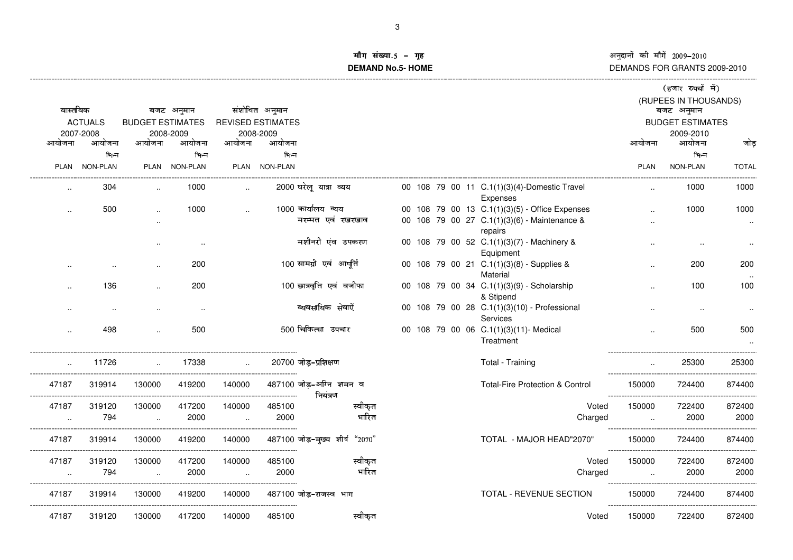¡¢¢£¤ ¡¢¥¢DEMANDS FOR GRANTS 2009-2010

 ¦§¨©ª«¬-------------------

## ॉंग संख्या.5 −<br>MAND Ne.5 H **DEMAND No.5- HOME**

-------------------------------------------------------------------------------------------------------------------------------------------------------------------------------------------------------------------------------------------------------------------

|                             |                     |                         |                     |          |                          |                                     |  |  |                                                          |                        | राज्यार एकमा पर                     |                |
|-----------------------------|---------------------|-------------------------|---------------------|----------|--------------------------|-------------------------------------|--|--|----------------------------------------------------------|------------------------|-------------------------------------|----------------|
| वास्तविक                    |                     |                         | बजट अनुमान          |          | संशोधित अनुमान           |                                     |  |  |                                                          |                        | (RUPEES IN THOUSANDS)<br>बजट अनुमान |                |
|                             | <b>ACTUALS</b>      | <b>BUDGET ESTIMATES</b> |                     |          | <b>REVISED ESTIMATES</b> |                                     |  |  |                                                          |                        | <b>BUDGET ESTIMATES</b>             |                |
| आयोजना                      | 2007-2008<br>आयोजना | आयोजना                  | 2008-2009<br>आयोजना | आयोजना   | 2008-2009<br>आयोजना      |                                     |  |  |                                                          | आयोजना                 | 2009-2010<br>आयोजना                 | जोड़           |
|                             | भिन्न               |                         | भिन्न               |          | भिन्न                    |                                     |  |  |                                                          |                        | भिन्न                               |                |
|                             | PLAN NON-PLAN       |                         | PLAN NON-PLAN       |          | PLAN NON-PLAN            |                                     |  |  |                                                          | <b>PLAN</b>            | NON-PLAN                            | <b>TOTAL</b>   |
| $\ddotsc$                   | 304                 |                         | 1000                |          |                          | 2000 घरेलू यात्रा व्यय              |  |  | 00 108 79 00 11 C.1(1)(3)(4)-Domestic Travel<br>Expenses | $\ddotsc$              | 1000                                | 1000           |
| $\ddotsc$                   | 500                 |                         | 1000                |          |                          | 1000 कार्यालय व्यय                  |  |  | 00 108 79 00 13 C.1(1)(3)(5) - Office Expenses           |                        | 1000                                | 1000           |
|                             |                     | $\ddotsc$               |                     |          |                          | मरम्मत एवं रखरखाव                   |  |  | 00 108 79 00 27 C.1(1)(3)(6) - Maintenance &             | $\ddotsc$              |                                     | $\cdot\cdot$   |
|                             |                     |                         |                     |          |                          |                                     |  |  | repairs                                                  |                        |                                     |                |
|                             |                     |                         |                     |          |                          | मशीनरी एंव उपकरण                    |  |  | 00 108 79 00 52 C.1(1)(3)(7) - Machinery &<br>Equipment  |                        |                                     |                |
|                             |                     |                         | 200                 |          |                          | 100 सामग्री एवं आपूर्ति             |  |  | 00 108 79 00 21 C.1(1)(3)(8) - Supplies &<br>Material    | $\ddot{\phantom{a}}$   | 200                                 | 200            |
|                             | 136                 |                         | 200                 |          |                          | 100 छात्रवृति एवं वजीफा             |  |  | 00 108 79 00 34 C.1(1)(3)(9) - Scholarship<br>& Stipend  |                        | 100                                 | 100            |
|                             |                     |                         | $\ldots$            |          |                          | व्यवसायिक सेवाऐं                    |  |  | 00 108 79 00 28 C.1(1)(3)(10) - Professional<br>Services |                        |                                     |                |
| $\ddotsc$                   | 498                 |                         | 500                 |          |                          | 500 चिकित्सा उपचार                  |  |  | 00 108 79 00 06 C.1(1)(3)(11)- Medical<br>Treatment      |                        | 500                                 | 500            |
|                             | 11726               |                         | 17338               |          |                          | 20700 जोड-प्रशिक्षण                 |  |  | Total - Training                                         |                        | 25300                               | 25300          |
| ------------------<br>47187 | 319914              | 130000                  | 419200              | 140000   |                          | 487100 जोड़-अग्नि शमन व<br>नियंत्रण |  |  | <b>Total-Fire Protection &amp; Control</b>               | <br>150000             | 724400                              | 874400         |
| 47187                       | 319120              | 130000                  | 417200              | 140000   | 485100                   | स्वीकृत                             |  |  | Voted                                                    | 150000                 | 722400                              | 872400         |
| $\ddotsc$                   | 794                 |                         | 2000                | $\ldots$ | 2000                     | भारित                               |  |  | Charged                                                  |                        | 2000                                | 2000           |
| 47187                       | 319914              | 130000                  | 419200              | 140000   |                          | 487100 जोड़-मुख्य शीर्ष "2070"      |  |  | TOTAL - MAJOR HEAD"2070"                                 | 150000                 | 724400                              | 874400         |
| 47187                       | 319120              | 130000                  | 417200              |          |                          |                                     |  |  |                                                          |                        |                                     |                |
|                             | 794                 |                         | 2000                | 140000   | 485100<br>2000           | स्वीकृत<br>भारित                    |  |  | Voted<br>Charged                                         | 150000                 | 722400<br>2000                      | 872400<br>2000 |
| $\cdot$ .                   |                     | $\ldots$                |                     | $\ldots$ |                          |                                     |  |  |                                                          | $\cdot$ .              |                                     |                |
| 47187                       | 319914              | 130000                  | 419200              | 140000   |                          | 487100 जोड-राजस्व भाग               |  |  | TOTAL - REVENUE SECTION                                  | 150000<br>------------ | 724400                              | 874400         |
| 47187                       | 319120              | 130000                  | 417200              | 140000   | 485100                   | स्वीकृत                             |  |  | Voted                                                    | 150000                 | 722400                              | 872400         |
|                             |                     |                         |                     |          |                          |                                     |  |  |                                                          |                        |                                     |                |